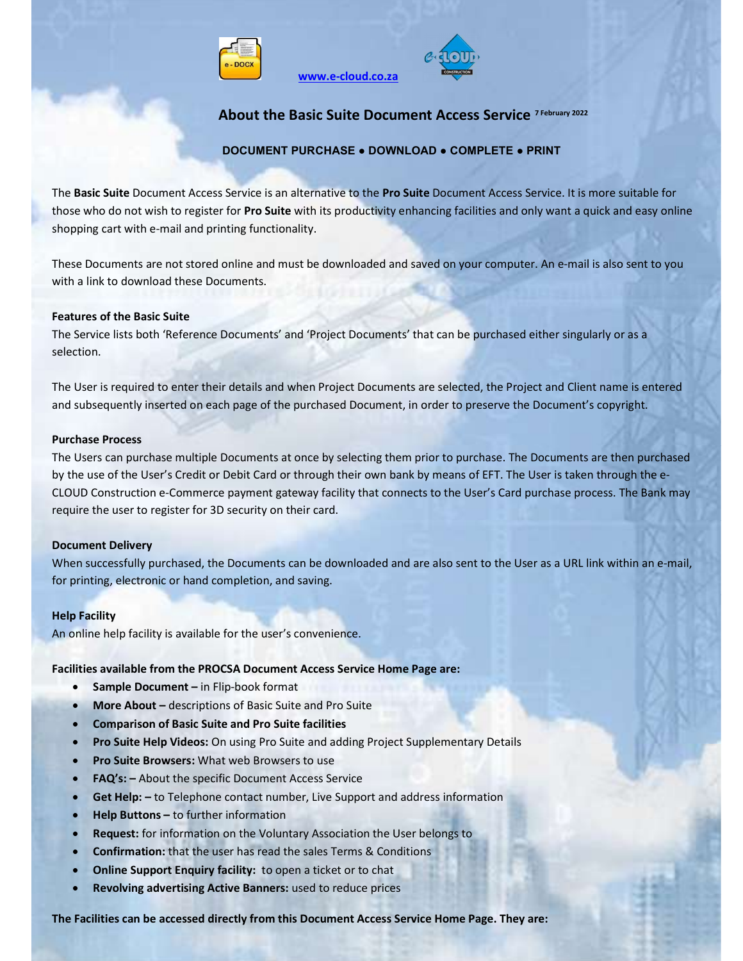



### About the Basic Suite Document Access Service 7 February 2022

#### DOCUMENT PURCHASE ● DOWNLOAD ● COMPLETE ● PRINT

The Basic Suite Document Access Service is an alternative to the Pro Suite Document Access Service. It is more suitable for those who do not wish to register for Pro Suite with its productivity enhancing facilities and only want a quick and easy online shopping cart with e-mail and printing functionality.

www.e-cloud.co.za

These Documents are not stored online and must be downloaded and saved on your computer. An e-mail is also sent to you with a link to download these Documents.

#### Features of the Basic Suite

The Service lists both 'Reference Documents' and 'Project Documents' that can be purchased either singularly or as a selection.

The User is required to enter their details and when Project Documents are selected, the Project and Client name is entered and subsequently inserted on each page of the purchased Document, in order to preserve the Document's copyright.

#### Purchase Process

The Users can purchase multiple Documents at once by selecting them prior to purchase. The Documents are then purchased by the use of the User's Credit or Debit Card or through their own bank by means of EFT. The User is taken through the e-CLOUD Construction e-Commerce payment gateway facility that connects to the User's Card purchase process. The Bank may require the user to register for 3D security on their card.

#### Document Delivery

When successfully purchased, the Documents can be downloaded and are also sent to the User as a URL link within an e-mail, for printing, electronic or hand completion, and saving.

#### Help Facility

An online help facility is available for the user's convenience.

#### Facilities available from the PROCSA Document Access Service Home Page are:

- Sample Document in Flip-book format
- More About descriptions of Basic Suite and Pro Suite
- Comparison of Basic Suite and Pro Suite facilities
- Pro Suite Help Videos: On using Pro Suite and adding Project Supplementary Details
- Pro Suite Browsers: What web Browsers to use
- FAQ's: About the specific Document Access Service
- Get Help: to Telephone contact number, Live Support and address information
- Help Buttons to further information
- Request: for information on the Voluntary Association the User belongs to
- Confirmation: that the user has read the sales Terms & Conditions
- Online Support Enquiry facility: to open a ticket or to chat
- Revolving advertising Active Banners: used to reduce prices

The Facilities can be accessed directly from this Document Access Service Home Page. They are: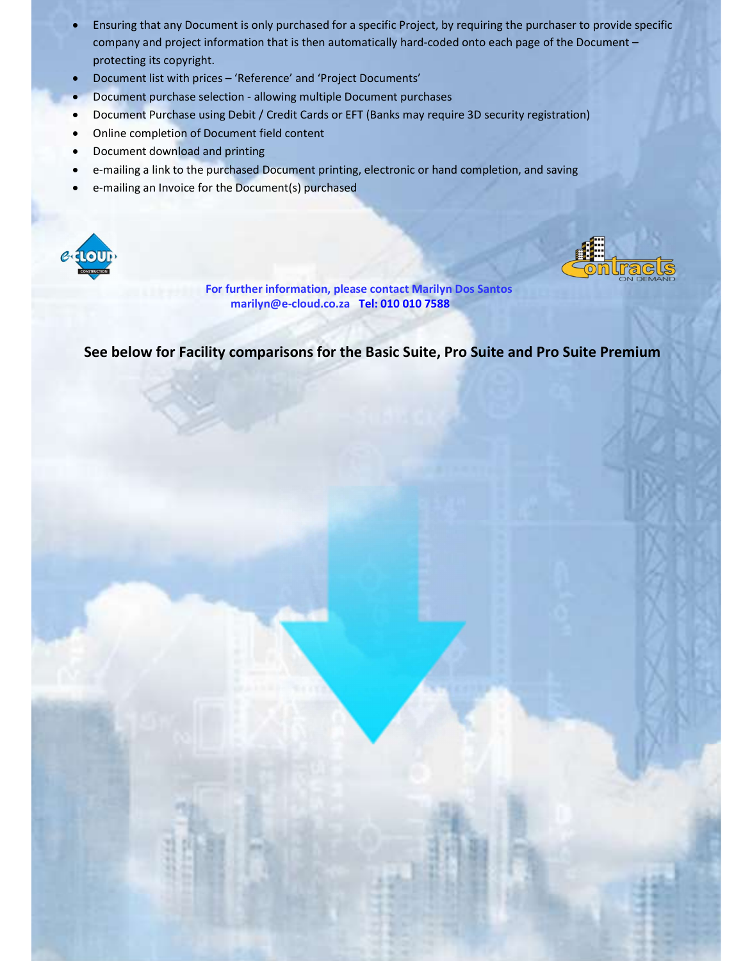- Ensuring that any Document is only purchased for a specific Project, by requiring the purchaser to provide specific company and project information that is then automatically hard-coded onto each page of the Document – protecting its copyright.
- Document list with prices 'Reference' and 'Project Documents'
- Document purchase selection allowing multiple Document purchases
- Document Purchase using Debit / Credit Cards or EFT (Banks may require 3D security registration)
- Online completion of Document field content
- Document download and printing
- e-mailing a link to the purchased Document printing, electronic or hand completion, and saving
- e-mailing an Invoice for the Document(s) purchased





 For further information, please contact Marilyn Dos Santos marilyn@e-cloud.co.za Tel: 010 010 7588

See below for Facility comparisons for the Basic Suite, Pro Suite and Pro Suite Premium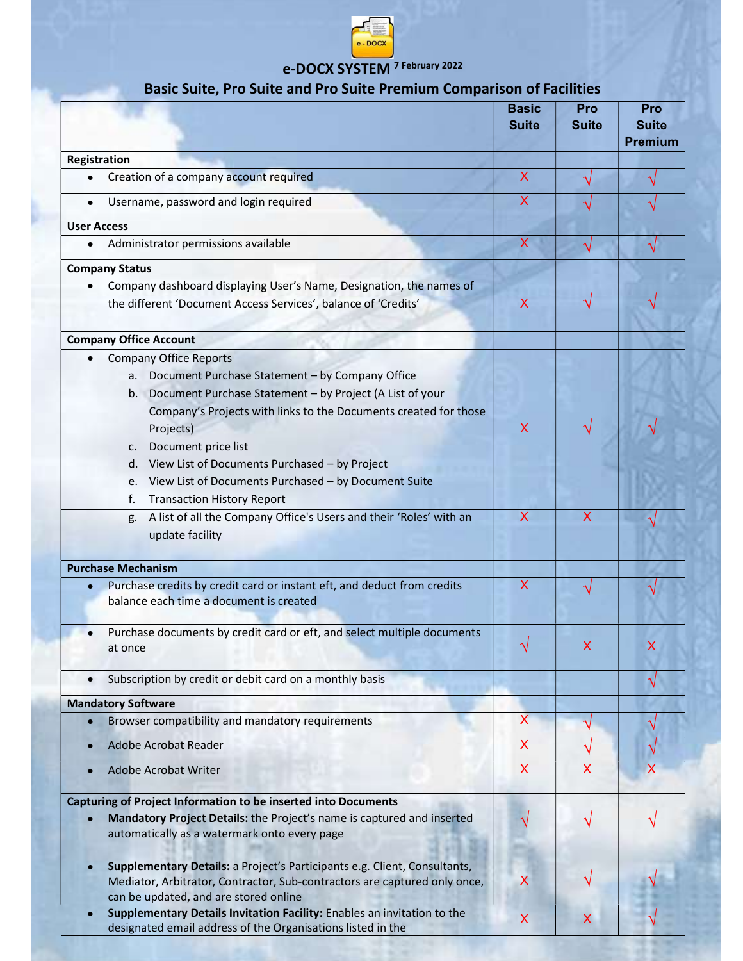

# e-DOCX SYSTEM 7 February 2022

## Basic Suite, Pro Suite and Pro Suite Premium Comparison of Facilities

|                                                                                                                                                                                                                                                                                                                                                                                                                                           | <b>Basic</b><br><b>Suite</b> | Pro<br><b>Suite</b>     | Pro<br><b>Suite</b><br><b>Premium</b> |
|-------------------------------------------------------------------------------------------------------------------------------------------------------------------------------------------------------------------------------------------------------------------------------------------------------------------------------------------------------------------------------------------------------------------------------------------|------------------------------|-------------------------|---------------------------------------|
| <b>Registration</b>                                                                                                                                                                                                                                                                                                                                                                                                                       |                              |                         |                                       |
| Creation of a company account required                                                                                                                                                                                                                                                                                                                                                                                                    | X                            |                         |                                       |
| Username, password and login required                                                                                                                                                                                                                                                                                                                                                                                                     | X                            |                         |                                       |
| <b>User Access</b>                                                                                                                                                                                                                                                                                                                                                                                                                        |                              |                         |                                       |
| Administrator permissions available<br>$\bullet$                                                                                                                                                                                                                                                                                                                                                                                          | $\mathsf{X}$                 |                         |                                       |
| <b>Company Status</b>                                                                                                                                                                                                                                                                                                                                                                                                                     |                              |                         |                                       |
| Company dashboard displaying User's Name, Designation, the names of<br>$\bullet$                                                                                                                                                                                                                                                                                                                                                          |                              |                         |                                       |
| the different 'Document Access Services', balance of 'Credits'                                                                                                                                                                                                                                                                                                                                                                            | X                            |                         |                                       |
| <b>Company Office Account</b>                                                                                                                                                                                                                                                                                                                                                                                                             |                              |                         |                                       |
| <b>Company Office Reports</b><br>a. Document Purchase Statement - by Company Office<br>b. Document Purchase Statement - by Project (A List of your<br>Company's Projects with links to the Documents created for those<br>Projects)<br>Document price list<br>$\mathsf{C}$ .<br>d. View List of Documents Purchased - by Project<br>View List of Documents Purchased - by Document Suite<br>e.<br>f.<br><b>Transaction History Report</b> | X                            |                         |                                       |
| A list of all the Company Office's Users and their 'Roles' with an<br>g.<br>update facility                                                                                                                                                                                                                                                                                                                                               | X                            | х                       |                                       |
| <b>Purchase Mechanism</b>                                                                                                                                                                                                                                                                                                                                                                                                                 |                              |                         |                                       |
| Purchase credits by credit card or instant eft, and deduct from credits<br>balance each time a document is created                                                                                                                                                                                                                                                                                                                        | $\overline{\mathsf{X}}$      |                         |                                       |
| Purchase documents by credit card or eft, and select multiple documents<br>at once                                                                                                                                                                                                                                                                                                                                                        |                              |                         |                                       |
| Subscription by credit or debit card on a monthly basis                                                                                                                                                                                                                                                                                                                                                                                   |                              |                         | $\sqrt{}$                             |
| <b>Mandatory Software</b>                                                                                                                                                                                                                                                                                                                                                                                                                 |                              |                         |                                       |
| Browser compatibility and mandatory requirements                                                                                                                                                                                                                                                                                                                                                                                          | $\overline{\mathsf{X}}$      |                         |                                       |
| Adobe Acrobat Reader                                                                                                                                                                                                                                                                                                                                                                                                                      | $\mathsf{X}$                 |                         |                                       |
| <b>Adobe Acrobat Writer</b>                                                                                                                                                                                                                                                                                                                                                                                                               | $\overline{\mathsf{X}}$      | $\overline{\mathsf{X}}$ | $\overline{\mathsf{X}}$               |
| <b>Capturing of Project Information to be inserted into Documents</b>                                                                                                                                                                                                                                                                                                                                                                     |                              |                         |                                       |
| Mandatory Project Details: the Project's name is captured and inserted<br>automatically as a watermark onto every page                                                                                                                                                                                                                                                                                                                    |                              |                         |                                       |
| Supplementary Details: a Project's Participants e.g. Client, Consultants,<br>$\bullet$<br>Mediator, Arbitrator, Contractor, Sub-contractors are captured only once,<br>can be updated, and are stored online                                                                                                                                                                                                                              | X                            |                         |                                       |
| Supplementary Details Invitation Facility: Enables an invitation to the<br>designated email address of the Organisations listed in the                                                                                                                                                                                                                                                                                                    | X                            | X.                      |                                       |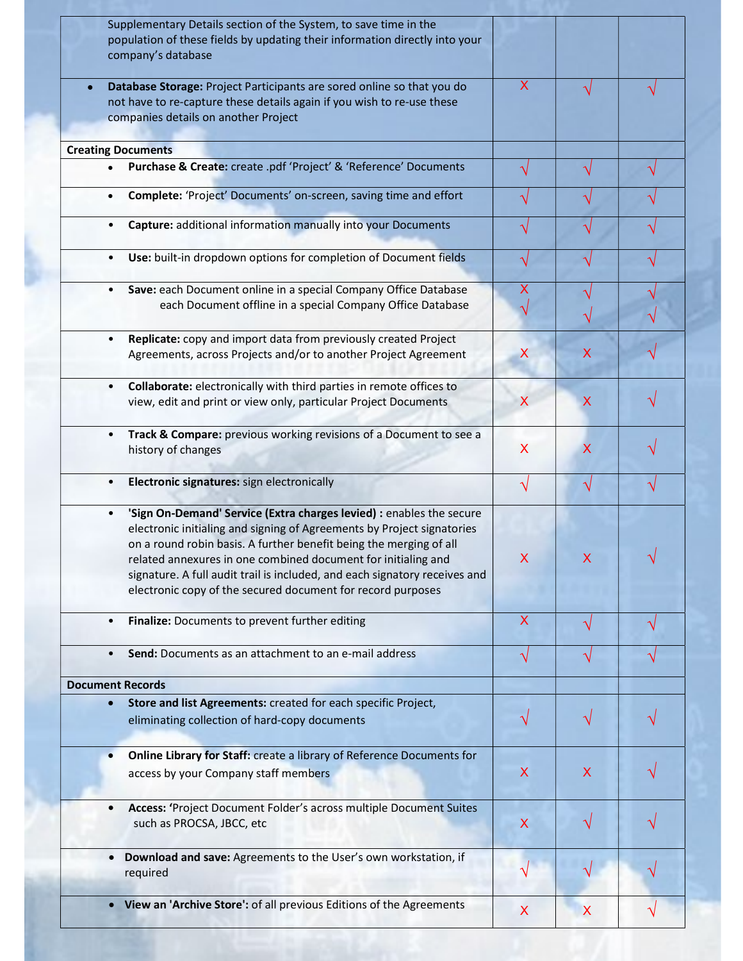|                         | Supplementary Details section of the System, to save time in the<br>population of these fields by updating their information directly into your<br>company's database                    |                           |   |  |
|-------------------------|------------------------------------------------------------------------------------------------------------------------------------------------------------------------------------------|---------------------------|---|--|
|                         | Database Storage: Project Participants are sored online so that you do<br>not have to re-capture these details again if you wish to re-use these<br>companies details on another Project | X                         |   |  |
|                         | <b>Creating Documents</b>                                                                                                                                                                |                           |   |  |
| $\bullet$               | Purchase & Create: create .pdf 'Project' & 'Reference' Documents                                                                                                                         |                           |   |  |
| $\bullet$               | Complete: 'Project' Documents' on-screen, saving time and effort                                                                                                                         |                           |   |  |
| $\bullet$               | Capture: additional information manually into your Documents                                                                                                                             |                           |   |  |
| $\bullet$               | Use: built-in dropdown options for completion of Document fields                                                                                                                         |                           |   |  |
| $\bullet$               | Save: each Document online in a special Company Office Database                                                                                                                          | х                         |   |  |
|                         |                                                                                                                                                                                          |                           |   |  |
|                         | each Document offline in a special Company Office Database                                                                                                                               |                           |   |  |
|                         |                                                                                                                                                                                          |                           |   |  |
| $\bullet$               | Replicate: copy and import data from previously created Project                                                                                                                          |                           |   |  |
|                         | Agreements, across Projects and/or to another Project Agreement                                                                                                                          | X                         | х |  |
|                         |                                                                                                                                                                                          |                           |   |  |
| $\bullet$               | Collaborate: electronically with third parties in remote offices to                                                                                                                      |                           |   |  |
|                         | view, edit and print or view only, particular Project Documents                                                                                                                          | X                         | X |  |
| $\bullet$               | Track & Compare: previous working revisions of a Document to see a                                                                                                                       |                           |   |  |
|                         | history of changes                                                                                                                                                                       | X                         | X |  |
|                         |                                                                                                                                                                                          |                           |   |  |
| $\bullet$               | Electronic signatures: sign electronically                                                                                                                                               |                           |   |  |
|                         |                                                                                                                                                                                          |                           |   |  |
| $\bullet$               | 'Sign On-Demand' Service (Extra charges levied) : enables the secure                                                                                                                     |                           |   |  |
|                         | electronic initialing and signing of Agreements by Project signatories                                                                                                                   |                           |   |  |
|                         |                                                                                                                                                                                          |                           |   |  |
|                         | on a round robin basis. A further benefit being the merging of all                                                                                                                       |                           |   |  |
|                         | related annexures in one combined document for initialing and                                                                                                                            | X                         |   |  |
|                         | signature. A full audit trail is included, and each signatory receives and                                                                                                               |                           |   |  |
|                         | electronic copy of the secured document for record purposes                                                                                                                              |                           |   |  |
| $\bullet$               | Finalize: Documents to prevent further editing                                                                                                                                           | $\boldsymbol{\mathsf{X}}$ |   |  |
|                         |                                                                                                                                                                                          |                           |   |  |
| $\bullet$               | Send: Documents as an attachment to an e-mail address                                                                                                                                    |                           |   |  |
| <b>Document Records</b> |                                                                                                                                                                                          |                           |   |  |
| $\bullet$               | Store and list Agreements: created for each specific Project,                                                                                                                            |                           |   |  |
|                         |                                                                                                                                                                                          |                           |   |  |
|                         | eliminating collection of hard-copy documents                                                                                                                                            |                           |   |  |
|                         |                                                                                                                                                                                          |                           |   |  |
| $\bullet$               | Online Library for Staff: create a library of Reference Documents for                                                                                                                    |                           |   |  |
|                         | access by your Company staff members                                                                                                                                                     | X                         | X |  |
|                         |                                                                                                                                                                                          |                           |   |  |
|                         | Access: 'Project Document Folder's across multiple Document Suites                                                                                                                       |                           |   |  |
|                         | such as PROCSA, JBCC, etc                                                                                                                                                                | X                         |   |  |
|                         |                                                                                                                                                                                          |                           |   |  |
|                         |                                                                                                                                                                                          |                           |   |  |
|                         | Download and save: Agreements to the User's own workstation, if                                                                                                                          |                           |   |  |
|                         | required                                                                                                                                                                                 |                           |   |  |
|                         |                                                                                                                                                                                          |                           |   |  |
|                         | View an 'Archive Store': of all previous Editions of the Agreements                                                                                                                      | X                         | X |  |
|                         |                                                                                                                                                                                          |                           |   |  |

à.